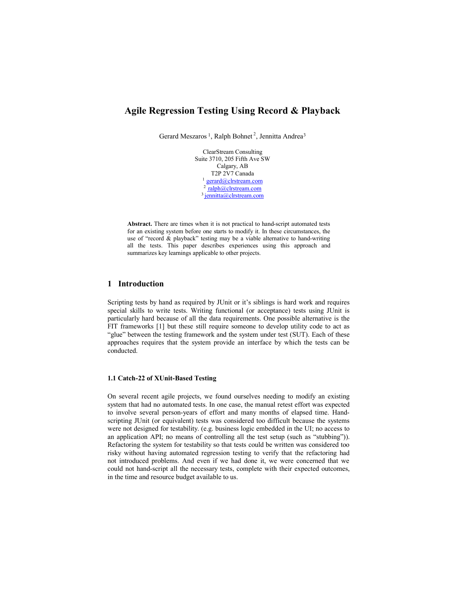# **Agile Regression Testing Using Record & Playback**

Gerard Meszaros<sup>1</sup>, Ralph Bohnet<sup>2</sup>, Jennitta Andrea<sup>3</sup>

ClearStream Consulting Suite 3710, 205 Fifth Ave SW Calgary, AB T2P 2V7 Canada <sup>1</sup> gerard@clrstream.com  $2$  ralph@clrstream.com  $3$  jennitta@clrstream.com

**Abstract.** There are times when it is not practical to hand-script automated tests for an existing system before one starts to modify it. In these circumstances, the use of "record & playback" testing may be a viable alternative to hand-writing all the tests. This paper describes experiences using this approach and summarizes key learnings applicable to other projects.

# **1 Introduction**

Scripting tests by hand as required by JUnit or it's siblings is hard work and requires special skills to write tests. Writing functional (or acceptance) tests using JUnit is particularly hard because of all the data requirements. One possible alternative is the FIT frameworks [1] but these still require someone to develop utility code to act as "glue" between the testing framework and the system under test (SUT). Each of these approaches requires that the system provide an interface by which the tests can be conducted.

### **1.1 Catch-22 of XUnit-Based Testing**

On several recent agile projects, we found ourselves needing to modify an existing system that had no automated tests. In one case, the manual retest effort was expected to involve several person-years of effort and many months of elapsed time. Handscripting JUnit (or equivalent) tests was considered too difficult because the systems were not designed for testability. (e.g. business logic embedded in the UI; no access to an application API; no means of controlling all the test setup (such as "stubbing")). Refactoring the system for testability so that tests could be written was considered too risky without having automated regression testing to verify that the refactoring had not introduced problems. And even if we had done it, we were concerned that we could not hand-script all the necessary tests, complete with their expected outcomes, in the time and resource budget available to us.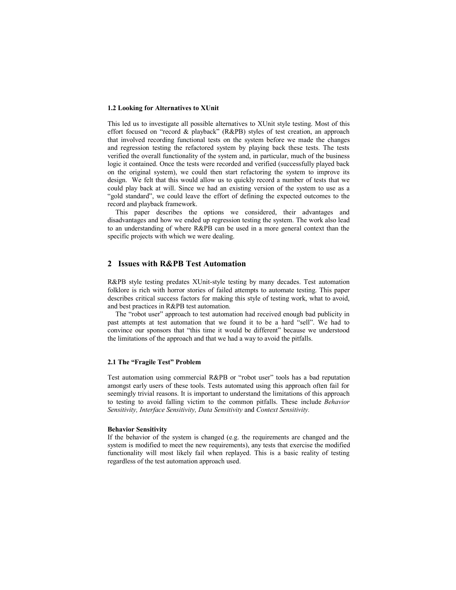### **1.2 Looking for Alternatives to XUnit**

This led us to investigate all possible alternatives to XUnit style testing. Most of this effort focused on "record & playback" (R&PB) styles of test creation, an approach that involved recording functional tests on the system before we made the changes and regression testing the refactored system by playing back these tests. The tests verified the overall functionality of the system and, in particular, much of the business logic it contained. Once the tests were recorded and verified (successfully played back on the original system), we could then start refactoring the system to improve its design. We felt that this would allow us to quickly record a number of tests that we could play back at will. Since we had an existing version of the system to use as a "gold standard", we could leave the effort of defining the expected outcomes to the record and playback framework.

This paper describes the options we considered, their advantages and disadvantages and how we ended up regression testing the system. The work also lead to an understanding of where R&PB can be used in a more general context than the specific projects with which we were dealing.

# **2 Issues with R&PB Test Automation**

R&PB style testing predates XUnit-style testing by many decades. Test automation folklore is rich with horror stories of failed attempts to automate testing. This paper describes critical success factors for making this style of testing work, what to avoid, and best practices in R&PB test automation.

The "robot user" approach to test automation had received enough bad publicity in past attempts at test automation that we found it to be a hard "sell". We had to convince our sponsors that "this time it would be different" because we understood the limitations of the approach and that we had a way to avoid the pitfalls.

## **2.1 The "Fragile Test" Problem**

Test automation using commercial R&PB or "robot user" tools has a bad reputation amongst early users of these tools. Tests automated using this approach often fail for seemingly trivial reasons. It is important to understand the limitations of this approach to testing to avoid falling victim to the common pitfalls. These include *Behavior Sensitivity, Interface Sensitivity, Data Sensitivity* and *Context Sensitivity.*

### **Behavior Sensitivity**

If the behavior of the system is changed (e.g. the requirements are changed and the system is modified to meet the new requirements), any tests that exercise the modified functionality will most likely fail when replayed. This is a basic reality of testing regardless of the test automation approach used.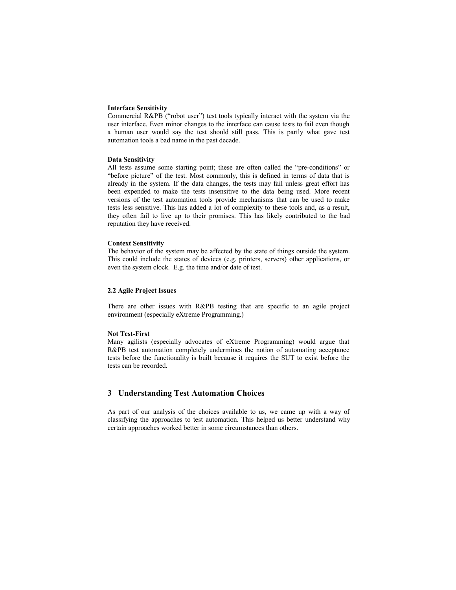# **Interface Sensitivity**

Commercial R&PB ("robot user") test tools typically interact with the system via the user interface. Even minor changes to the interface can cause tests to fail even though a human user would say the test should still pass. This is partly what gave test automation tools a bad name in the past decade.

#### **Data Sensitivity**

All tests assume some starting point; these are often called the "pre-conditions" or "before picture" of the test. Most commonly, this is defined in terms of data that is already in the system. If the data changes, the tests may fail unless great effort has been expended to make the tests insensitive to the data being used. More recent versions of the test automation tools provide mechanisms that can be used to make tests less sensitive. This has added a lot of complexity to these tools and, as a result, they often fail to live up to their promises. This has likely contributed to the bad reputation they have received.

#### **Context Sensitivity**

The behavior of the system may be affected by the state of things outside the system. This could include the states of devices (e.g. printers, servers) other applications, or even the system clock. E.g. the time and/or date of test.

# **2.2 Agile Project Issues**

There are other issues with R&PB testing that are specific to an agile project environment (especially eXtreme Programming.)

#### **Not Test-First**

Many agilists (especially advocates of eXtreme Programming) would argue that R&PB test automation completely undermines the notion of automating acceptance tests before the functionality is built because it requires the SUT to exist before the tests can be recorded.

# **3 Understanding Test Automation Choices**

As part of our analysis of the choices available to us, we came up with a way of classifying the approaches to test automation. This helped us better understand why certain approaches worked better in some circumstances than others.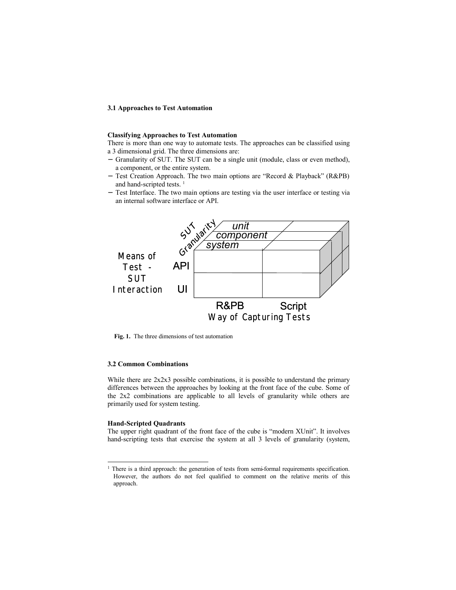### **3.1 Approaches to Test Automation**

#### **Classifying Approaches to Test Automation**

There is more than one way to automate tests. The approaches can be classified using a 3 dimensional grid. The three dimensions are:

- − Granularity of SUT. The SUT can be a single unit (module, class or even method), a component, or the entire system.
- − Test Creation Approach. The two main options are "Record & Playback" (R&PB) and hand-scripted tests.<sup>1</sup>
- − Test Interface. The two main options are testing via the user interface or testing via an internal software interface or API.



**Fig. 1.** The three dimensions of test automation

# **3.2 Common Combinations**

While there are  $2x2x3$  possible combinations, it is possible to understand the primary differences between the approaches by looking at the front face of the cube. Some of the 2x2 combinations are applicable to all levels of granularity while others are primarily used for system testing.

#### **Hand-Scripted Quadrants**

 $\overline{a}$ 

The upper right quadrant of the front face of the cube is "modern XUnit". It involves hand-scripting tests that exercise the system at all 3 levels of granularity (system,

<sup>1</sup> There is a third approach: the generation of tests from semi-formal requirements specification. However, the authors do not feel qualified to comment on the relative merits of this approach.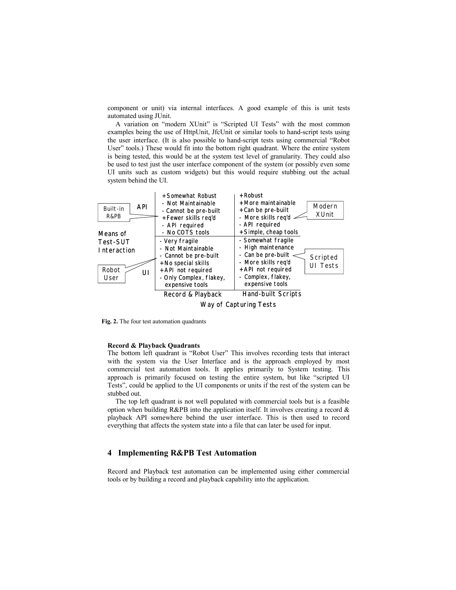component or unit) via internal interfaces. A good example of this is unit tests automated using JUnit.

A variation on "modern XUnit" is "Scripted UI Tests" with the most common examples being the use of HttpUnit, JfcUnit or similar tools to hand-script tests using the user interface. (It is also possible to hand-script tests using commercial "Robot User" tools.) These would fit into the bottom right quadrant. Where the entire system is being tested, this would be at the system test level of granularity. They could also be used to test just the user interface component of the system (or possibly even some UI units such as custom widgets) but this would require stubbing out the actual system behind the UI.



**Fig. 2.** The four test automation quadrants

#### **Record & Playback Quadrants**

The bottom left quadrant is "Robot User" This involves recording tests that interact with the system via the User Interface and is the approach employed by most commercial test automation tools. It applies primarily to System testing. This approach is primarily focused on testing the entire system, but like "scripted UI Tests", could be applied to the UI components or units if the rest of the system can be stubbed out.

The top left quadrant is not well populated with commercial tools but is a feasible option when building R&PB into the application itself. It involves creating a record  $\&$ playback API somewhere behind the user interface. This is then used to record everything that affects the system state into a file that can later be used for input.

# **4 Implementing R&PB Test Automation**

Record and Playback test automation can be implemented using either commercial tools or by building a record and playback capability into the application.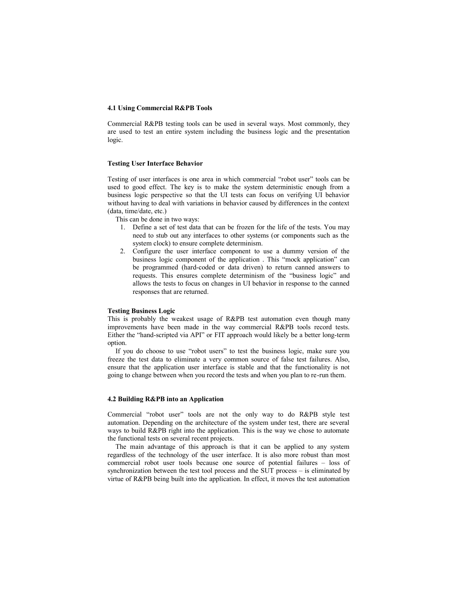### **4.1 Using Commercial R&PB Tools**

Commercial R&PB testing tools can be used in several ways. Most commonly, they are used to test an entire system including the business logic and the presentation logic.

### **Testing User Interface Behavior**

Testing of user interfaces is one area in which commercial "robot user" tools can be used to good effect. The key is to make the system deterministic enough from a business logic perspective so that the UI tests can focus on verifying UI behavior without having to deal with variations in behavior caused by differences in the context (data, time/date, etc.)

This can be done in two ways:

- 1. Define a set of test data that can be frozen for the life of the tests. You may need to stub out any interfaces to other systems (or components such as the system clock) to ensure complete determinism.
- 2. Configure the user interface component to use a dummy version of the business logic component of the application . This "mock application" can be programmed (hard-coded or data driven) to return canned answers to requests. This ensures complete determinism of the "business logic" and allows the tests to focus on changes in UI behavior in response to the canned responses that are returned.

### **Testing Business Logic**

This is probably the weakest usage of R&PB test automation even though many improvements have been made in the way commercial R&PB tools record tests. Either the "hand-scripted via API" or FIT approach would likely be a better long-term option.

If you do choose to use "robot users" to test the business logic, make sure you freeze the test data to eliminate a very common source of false test failures. Also, ensure that the application user interface is stable and that the functionality is not going to change between when you record the tests and when you plan to re-run them.

#### **4.2 Building R&PB into an Application**

Commercial "robot user" tools are not the only way to do R&PB style test automation. Depending on the architecture of the system under test, there are several ways to build R&PB right into the application. This is the way we chose to automate the functional tests on several recent projects.

The main advantage of this approach is that it can be applied to any system regardless of the technology of the user interface. It is also more robust than most commercial robot user tools because one source of potential failures – loss of synchronization between the test tool process and the SUT process – is eliminated by virtue of R&PB being built into the application. In effect, it moves the test automation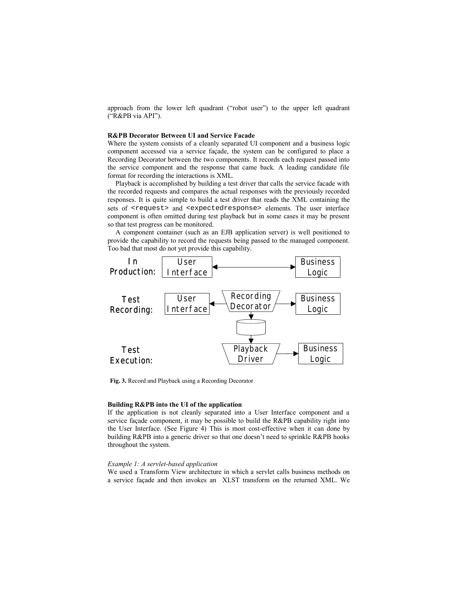approach from the lower left quadrant ("robot user") to the upper left quadrant ("R&PB via API").

### **R&PB Decorator Between UI and Service Facade**

Where the system consists of a cleanly separated UI component and a business logic component accessed via a service façade, the system can be configured to place a Recording Decorator between the two components. It records each request passed into the service component and the response that came back. A leading candidate file format for recording the interactions is XML.

Playback is accomplished by building a test driver that calls the service facade with the recorded requests and compares the actual responses with the previously recorded responses. It is quite simple to build a test driver that reads the XML containing the sets of <request> and <expectedresponse> elements. The user interface component is often omitted during test playback but in some cases it may be present so that test progress can be monitored.

A component container (such as an EJB application server) is well positioned to provide the capability to record the requests being passed to the managed component. Too bad that most do not yet provide this capability.



**Fig. 3.** Record and Playback using a Recording Decorator

#### **Building R&PB into the UI of the application**

If the application is not cleanly separated into a User Interface component and a service façade component, it may be possible to build the R&PB capability right into the User Interface. (See Figure 4) This is most cost-effective when it can done by building R&PB into a generic driver so that one doesn't need to sprinkle R&PB hooks throughout the system.

#### *Example 1: A servlet-based application*

We used a Transform View architecture in which a servlet calls business methods on a service façade and then invokes an XLST transform on the returned XML. We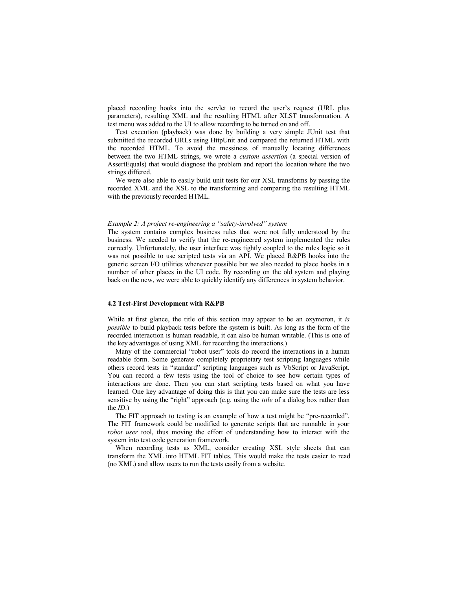placed recording hooks into the servlet to record the user's request (URL plus parameters), resulting XML and the resulting HTML after XLST transformation. A test menu was added to the UI to allow recording to be turned on and off.

Test execution (playback) was done by building a very simple JUnit test that submitted the recorded URLs using HttpUnit and compared the returned HTML with the recorded HTML. To avoid the messiness of manually locating differences between the two HTML strings, we wrote a *custom assertion* (a special version of AssertEquals) that would diagnose the problem and report the location where the two strings differed.

We were also able to easily build unit tests for our XSL transforms by passing the recorded XML and the XSL to the transforming and comparing the resulting HTML with the previously recorded HTML.

#### *Example 2: A project re-engineering a "safety-involved" system*

The system contains complex business rules that were not fully understood by the business. We needed to verify that the re-engineered system implemented the rules correctly. Unfortunately, the user interface was tightly coupled to the rules logic so it was not possible to use scripted tests via an API. We placed R&PB hooks into the generic screen I/O utilities whenever possible but we also needed to place hooks in a number of other places in the UI code. By recording on the old system and playing back on the new, we were able to quickly identify any differences in system behavior.

### **4.2 Test-First Development with R&PB**

While at first glance, the title of this section may appear to be an oxymoron, it *is possible* to build playback tests before the system is built. As long as the form of the recorded interaction is human readable, it can also be human writable. (This is one of the key advantages of using XML for recording the interactions.)

Many of the commercial "robot user" tools do record the interactions in a human readable form. Some generate completely proprietary test scripting languages while others record tests in "standard" scripting languages such as VbScript or JavaScript. You can record a few tests using the tool of choice to see how certain types of interactions are done. Then you can start scripting tests based on what you have learned. One key advantage of doing this is that you can make sure the tests are less sensitive by using the "right" approach (e.g. using the *title* of a dialog box rather than the *ID*.)

The FIT approach to testing is an example of how a test might be "pre-recorded". The FIT framework could be modified to generate scripts that are runnable in your *robot user* tool, thus moving the effort of understanding how to interact with the system into test code generation framework.

When recording tests as XML, consider creating XSL style sheets that can transform the XML into HTML FIT tables. This would make the tests easier to read (no XML) and allow users to run the tests easily from a website.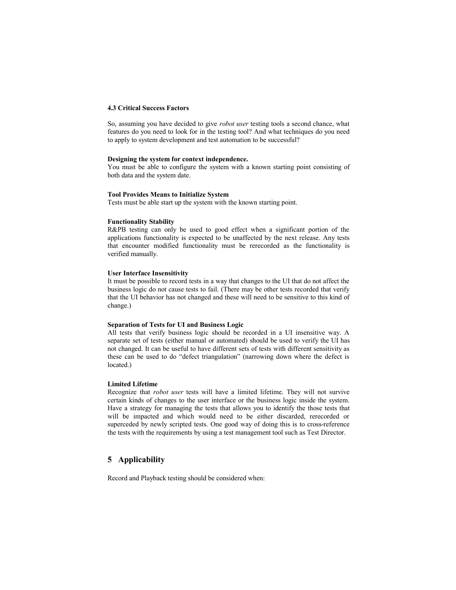### **4.3 Critical Success Factors**

So, assuming you have decided to give *robot user* testing tools a second chance, what features do you need to look for in the testing tool? And what techniques do you need to apply to system development and test automation to be successful?

### **Designing the system for context independence.**

You must be able to configure the system with a known starting point consisting of both data and the system date.

#### **Tool Provides Means to Initialize System**

Tests must be able start up the system with the known starting point.

#### **Functionality Stability**

R&PB testing can only be used to good effect when a significant portion of the applications functionality is expected to be unaffected by the next release. Any tests that encounter modified functionality must be rerecorded as the functionality is verified manually.

#### **User Interface Insensitivity**

It must be possible to record tests in a way that changes to the UI that do not affect the business logic do not cause tests to fail. (There may be other tests recorded that verify that the UI behavior has not changed and these will need to be sensitive to this kind of change.)

#### **Separation of Tests for UI and Business Logic**

All tests that verify business logic should be recorded in a UI insensitive way. A separate set of tests (either manual or automated) should be used to verify the UI has not changed. It can be useful to have different sets of tests with different sensitivity as these can be used to do "defect triangulation" (narrowing down where the defect is located.)

#### **Limited Lifetime**

Recognize that *robot user* tests will have a limited lifetime. They will not survive certain kinds of changes to the user interface or the business logic inside the system. Have a strategy for managing the tests that allows you to identify the those tests that will be impacted and which would need to be either discarded, rerecorded or superceded by newly scripted tests. One good way of doing this is to cross-reference the tests with the requirements by using a test management tool such as Test Director.

# **5 Applicability**

Record and Playback testing should be considered when: